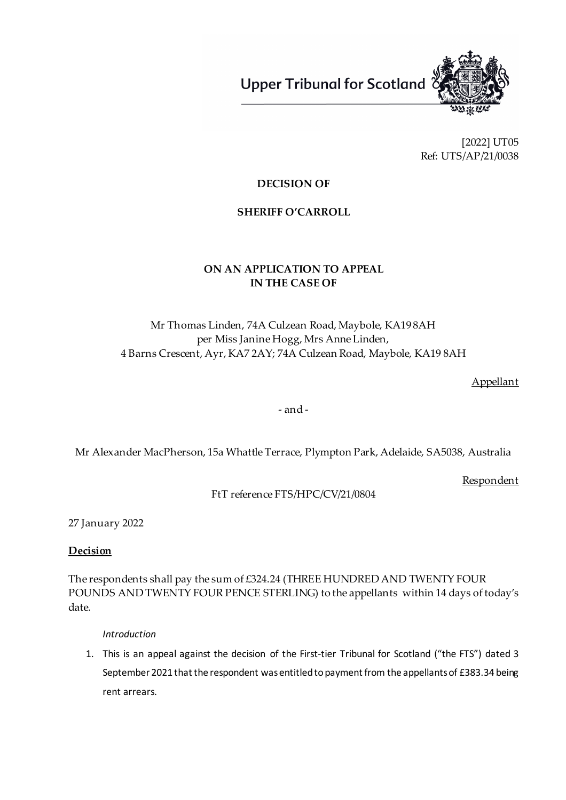**Upper Tribunal for Scotland** 



[2022] UT05 Ref: UTS/AP/21/0038

## **DECISION OF**

#### **SHERIFF O'CARROLL**

## **ON AN APPLICATION TO APPEAL IN THE CASE OF**

# Mr Thomas Linden, 74A Culzean Road, Maybole, KA19 8AH per Miss Janine Hogg, Mrs Anne Linden, 4 Barns Crescent, Ayr, KA7 2AY; 74A Culzean Road, Maybole, KA19 8AH

Appellant

- and -

Mr Alexander MacPherson, 15a Whattle Terrace, Plympton Park, Adelaide, SA5038, Australia

Respondent

FtT reference FTS/HPC/CV/21/0804

27 January 2022

**Decision**

The respondents shall pay the sum of £324.24 (THREE HUNDRED AND TWENTY FOUR POUNDS AND TWENTY FOUR PENCE STERLING) to the appellants within 14 days of today's date.

*Introduction*

1. This is an appeal against the decision of the First-tier Tribunal for Scotland ("the FTS") dated 3 September 2021 that the respondent was entitled to payment from the appellants of £383.34 being rent arrears.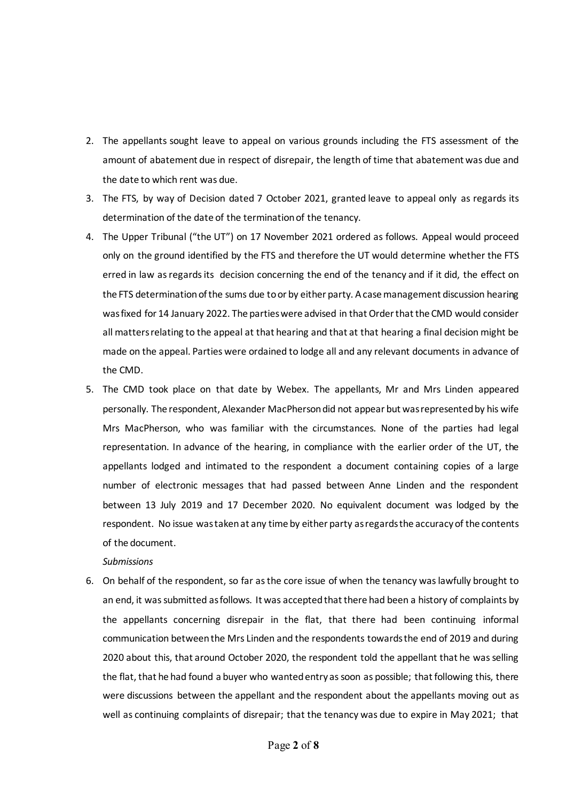- 2. The appellants sought leave to appeal on various grounds including the FTS assessment of the amount of abatement due in respect of disrepair, the length of time that abatement was due and the date to which rent was due.
- 3. The FTS, by way of Decision dated 7 October 2021, granted leave to appeal only as regards its determination of the date of the termination of the tenancy.
- 4. The Upper Tribunal ("the UT") on 17 November 2021 ordered as follows. Appeal would proceed only on the ground identified by the FTS and therefore the UT would determine whether the FTS erred in law as regards its decision concerning the end of the tenancy and if it did, the effect on the FTS determination of the sums due to or by either party. A case management discussion hearing was fixed for 14 January 2022. The parties were advised in that Order that the CMD would consider all matters relating to the appeal at that hearing and that at that hearing a final decision might be made on the appeal. Parties were ordained to lodge all and any relevant documents in advance of the CMD.
- 5. The CMD took place on that date by Webex. The appellants, Mr and Mrs Linden appeared personally. The respondent, Alexander MacPherson did not appear but was represented by his wife Mrs MacPherson, who was familiar with the circumstances. None of the parties had legal representation. In advance of the hearing, in compliance with the earlier order of the UT, the appellants lodged and intimated to the respondent a document containing copies of a large number of electronic messages that had passed between Anne Linden and the respondent between 13 July 2019 and 17 December 2020. No equivalent document was lodged by the respondent. No issue was taken at any time by either party as regards the accuracy of the contents of the document.

#### *Submissions*

6. On behalf of the respondent, so far as the core issue of when the tenancy was lawfully brought to an end, it was submitted as follows. It was accepted that there had been a history of complaints by the appellants concerning disrepair in the flat, that there had been continuing informal communication between the Mrs Linden and the respondents towards the end of 2019 and during 2020 about this, that around October 2020, the respondent told the appellant that he was selling the flat, that he had found a buyer who wanted entry as soon as possible; that following this, there were discussions between the appellant and the respondent about the appellants moving out as well as continuing complaints of disrepair; that the tenancy was due to expire in May 2021; that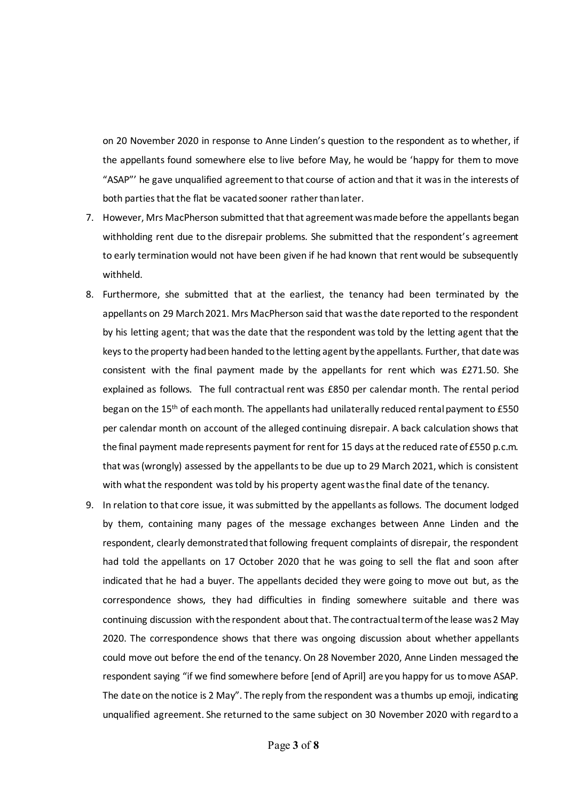on 20 November 2020 in response to Anne Linden's question to the respondent as to whether, if the appellants found somewhere else to live before May, he would be 'happy for them to move "ASAP"' he gave unqualified agreement to that course of action and that it was in the interests of both parties that the flat be vacated sooner rather than later.

- 7. However, Mrs MacPherson submitted that that agreement was made before the appellants began withholding rent due to the disrepair problems. She submitted that the respondent's agreement to early termination would not have been given if he had known that rent would be subsequently withheld.
- 8. Furthermore, she submitted that at the earliest, the tenancy had been terminated by the appellants on 29 March 2021. Mrs MacPherson said that was the date reported to the respondent by his letting agent; that was the date that the respondent was told by the letting agent that the keys to the property had been handed to the letting agent by the appellants. Further, that date was consistent with the final payment made by the appellants for rent which was £271.50. She explained as follows. The full contractual rent was £850 per calendar month. The rental period began on the 15<sup>th</sup> of each month. The appellants had unilaterally reduced rental payment to £550 per calendar month on account of the alleged continuing disrepair. A back calculation shows that the final payment made represents payment for rent for 15 days at the reduced rate of £550 p.c.m. that was (wrongly) assessed by the appellants to be due up to 29 March 2021, which is consistent with what the respondent was told by his property agent was the final date of the tenancy.
- 9. In relation to that core issue, it was submitted by the appellants as follows. The document lodged by them, containing many pages of the message exchanges between Anne Linden and the respondent, clearly demonstrated that following frequent complaints of disrepair, the respondent had told the appellants on 17 October 2020 that he was going to sell the flat and soon after indicated that he had a buyer. The appellants decided they were going to move out but, as the correspondence shows, they had difficulties in finding somewhere suitable and there was continuing discussion with the respondent about that. The contractual term of the lease was 2 May 2020. The correspondence shows that there was ongoing discussion about whether appellants could move out before the end of the tenancy. On 28 November 2020, Anne Linden messaged the respondent saying "if we find somewhere before [end of April] are you happy for us to move ASAP. The date on the notice is 2 May". The reply from the respondent was a thumbs up emoji, indicating unqualified agreement. She returned to the same subject on 30 November 2020 with regard to a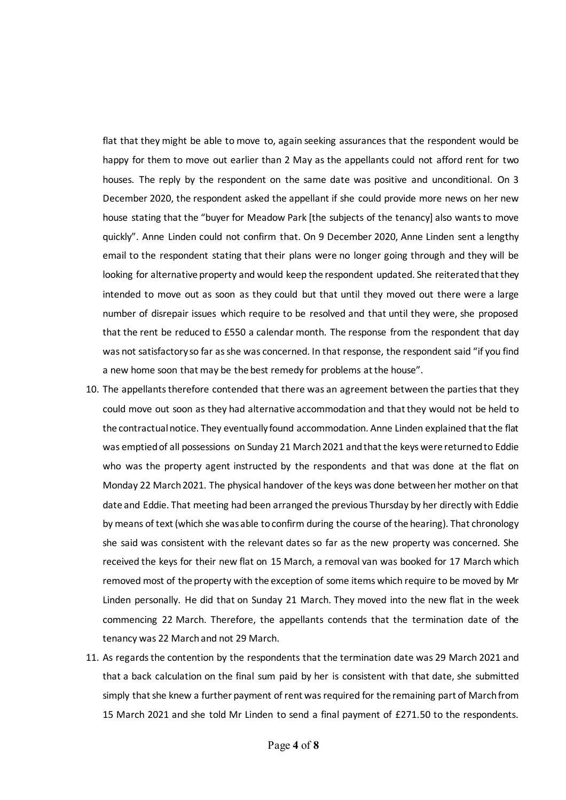flat that they might be able to move to, again seeking assurances that the respondent would be happy for them to move out earlier than 2 May as the appellants could not afford rent for two houses. The reply by the respondent on the same date was positive and unconditional. On 3 December 2020, the respondent asked the appellant if she could provide more news on her new house stating that the "buyer for Meadow Park [the subjects of the tenancy] also wants to move quickly". Anne Linden could not confirm that. On 9 December 2020, Anne Linden sent a lengthy email to the respondent stating that their plans were no longer going through and they will be looking for alternative property and would keep the respondent updated. She reiterated that they intended to move out as soon as they could but that until they moved out there were a large number of disrepair issues which require to be resolved and that until they were, she proposed that the rent be reduced to £550 a calendar month. The response from the respondent that day was not satisfactory so far as she was concerned. In that response, the respondent said "if you find a new home soon that may be the best remedy for problems at the house".

- 10. The appellants therefore contended that there was an agreement between the parties that they could move out soon as they had alternative accommodation and that they would not be held to the contractual notice. They eventually found accommodation. Anne Linden explained that the flat was emptied of all possessions on Sunday 21 March 2021 and that the keys were returned to Eddie who was the property agent instructed by the respondents and that was done at the flat on Monday 22 March 2021. The physical handover of the keys was done between her mother on that date and Eddie. That meeting had been arranged the previous Thursday by her directly with Eddie by means of text (which she wasable to confirm during the course of the hearing). That chronology she said was consistent with the relevant dates so far as the new property was concerned. She received the keys for their new flat on 15 March, a removal van was booked for 17 March which removed most of the property with the exception of some items which require to be moved by Mr Linden personally. He did that on Sunday 21 March. They moved into the new flat in the week commencing 22 March. Therefore, the appellants contends that the termination date of the tenancy was 22 March and not 29 March.
- 11. As regards the contention by the respondents that the termination date was 29 March 2021 and that a back calculation on the final sum paid by her is consistent with that date, she submitted simply that she knew a further payment of rent was required for the remaining part of March from 15 March 2021 and she told Mr Linden to send a final payment of £271.50 to the respondents.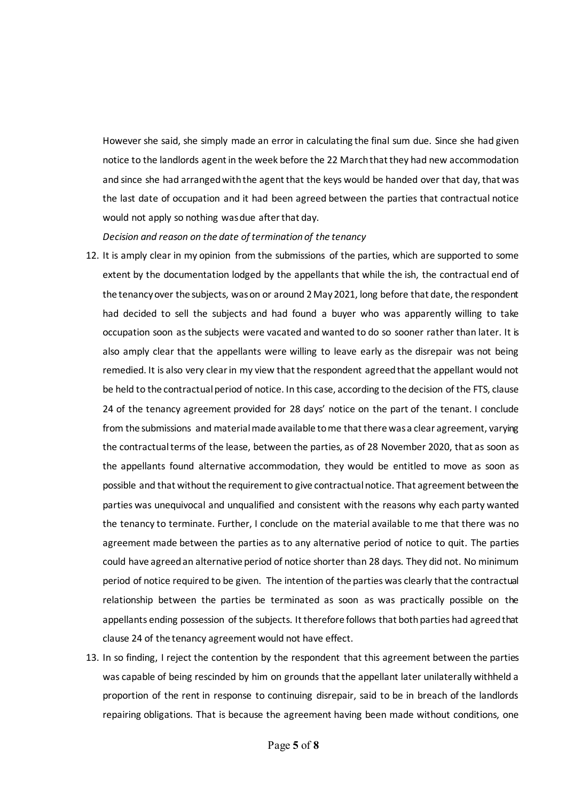However she said, she simply made an error in calculating the final sum due. Since she had given notice to the landlords agent in the week before the 22 March that they had new accommodation and since she had arranged with the agent that the keys would be handed over that day, that was the last date of occupation and it had been agreed between the parties that contractual notice would not apply so nothing was due after that day.

*Decision and reason on the date of termination of the tenancy*

- 12. It is amply clear in my opinion from the submissions of the parties, which are supported to some extent by the documentation lodged by the appellants that while the ish, the contractual end of the tenancy over the subjects, was on or around 2 May 2021, long before that date, the respondent had decided to sell the subjects and had found a buyer who was apparently willing to take occupation soon as the subjects were vacated and wanted to do so sooner rather than later. It is also amply clear that the appellants were willing to leave early as the disrepair was not being remedied. It is also very clear in my view that the respondent agreed that the appellant would not be held to the contractual period of notice. In this case, according to the decision of the FTS, clause 24 of the tenancy agreement provided for 28 days' notice on the part of the tenant. I conclude from the submissions and material made available to me that there was a clear agreement, varying the contractual terms of the lease, between the parties, as of 28 November 2020, that as soon as the appellants found alternative accommodation, they would be entitled to move as soon as possible and that without the requirement to give contractualnotice. That agreement between the parties was unequivocal and unqualified and consistent with the reasons why each party wanted the tenancy to terminate. Further, I conclude on the material available to me that there was no agreement made between the parties as to any alternative period of notice to quit. The parties could have agreed an alternative period of notice shorter than 28 days. They did not. No minimum period of notice required to be given. The intention of the parties was clearly that the contractual relationship between the parties be terminated as soon as was practically possible on the appellants ending possession of the subjects. It therefore follows that both parties had agreed that clause 24 of the tenancy agreement would not have effect.
- 13. In so finding, I reject the contention by the respondent that this agreement between the parties was capable of being rescinded by him on grounds that the appellant later unilaterally withheld a proportion of the rent in response to continuing disrepair, said to be in breach of the landlords repairing obligations. That is because the agreement having been made without conditions, one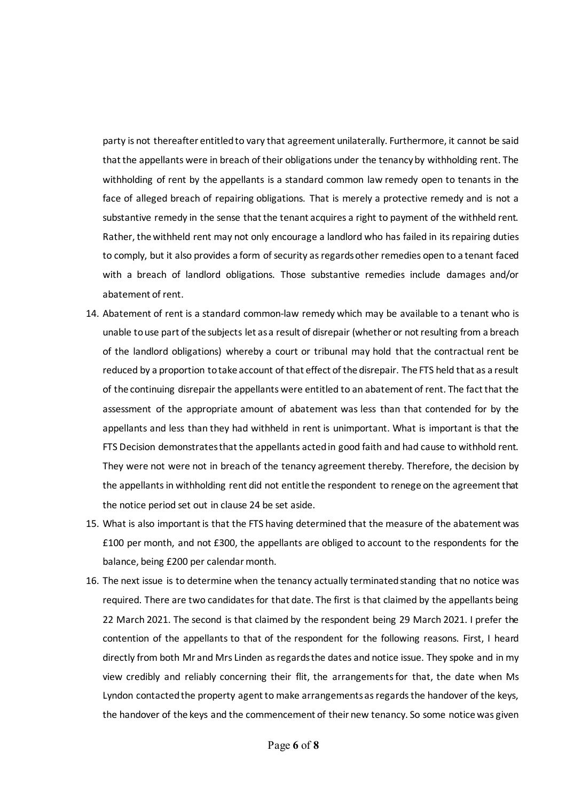party is not thereafter entitled to vary that agreement unilaterally. Furthermore, it cannot be said that the appellants were in breach of their obligations under the tenancy by withholding rent. The withholding of rent by the appellants is a standard common law remedy open to tenants in the face of alleged breach of repairing obligations. That is merely a protective remedy and is not a substantive remedy in the sense that the tenant acquires a right to payment of the withheld rent. Rather, the withheld rent may not only encourage a landlord who has failed in its repairing duties to comply, but it also provides a form of security as regards other remedies open to a tenant faced with a breach of landlord obligations. Those substantive remedies include damages and/or abatement of rent.

- 14. Abatement of rent is a standard common-law remedy which may be available to a tenant who is unable to use part of the subjects let as a result of disrepair (whether or not resulting from a breach of the landlord obligations) whereby a court or tribunal may hold that the contractual rent be reduced by a proportion to take account of that effect of the disrepair. The FTS held that as a result of the continuing disrepair the appellants were entitled to an abatement of rent. The fact that the assessment of the appropriate amount of abatement was less than that contended for by the appellants and less than they had withheld in rent is unimportant. What is important is that the FTS Decision demonstrates that the appellants acted in good faith and had cause to withhold rent. They were not were not in breach of the tenancy agreement thereby. Therefore, the decision by the appellants in withholding rent did not entitle the respondent to renege on the agreement that the notice period set out in clause 24 be set aside.
- 15. What is also important is that the FTS having determined that the measure of the abatement was £100 per month, and not £300, the appellants are obliged to account to the respondents for the balance, being £200 per calendar month.
- 16. The next issue is to determine when the tenancy actually terminatedstanding that no notice was required. There are two candidates for that date. The first is that claimed by the appellants being 22 March 2021. The second is that claimed by the respondent being 29 March 2021. I prefer the contention of the appellants to that of the respondent for the following reasons. First, I heard directly from both Mr and Mrs Linden as regards the dates and notice issue. They spoke and in my view credibly and reliably concerning their flit, the arrangements for that, the date when Ms Lyndon contacted the property agent to make arrangements as regards the handover of the keys, the handover of the keys and the commencement of their new tenancy. So some notice was given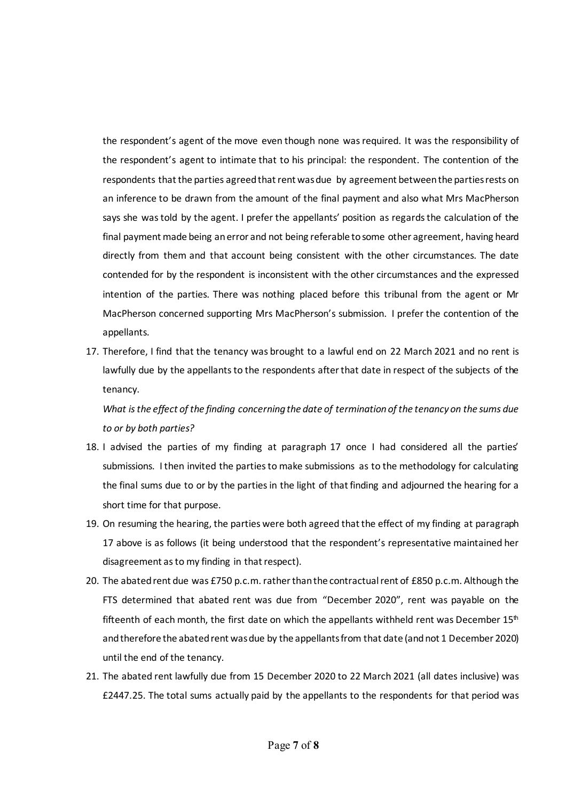the respondent's agent of the move even though none was required. It was the responsibility of the respondent's agent to intimate that to his principal: the respondent. The contention of the respondents that the parties agreed that rent was due by agreement between the parties rests on an inference to be drawn from the amount of the final payment and also what Mrs MacPherson says she was told by the agent. I prefer the appellants' position as regards the calculation of the final payment made being an error and not being referable to some other agreement, having heard directly from them and that account being consistent with the other circumstances. The date contended for by the respondent is inconsistent with the other circumstances and the expressed intention of the parties. There was nothing placed before this tribunal from the agent or Mr MacPherson concerned supporting Mrs MacPherson's submission. I prefer the contention of the appellants.

17. Therefore, I find that the tenancy was brought to a lawful end on 22 March 2021 and no rent is lawfully due by the appellants to the respondents after that date in respect of the subjects of the tenancy.

*What is the effect of the finding concerning the date of termination of the tenancy on the sums due to or by both parties?*

- 18. I advised the parties of my finding at paragraph 17 once I had considered all the parties' submissions. I then invited the parties to make submissions as to the methodology for calculating the final sums due to or by the parties in the light of that finding and adjourned the hearing for a short time for that purpose.
- 19. On resuming the hearing, the parties were both agreed that the effect of my finding at paragraph 17 above is as follows (it being understood that the respondent's representative maintained her disagreement as to my finding in that respect).
- 20. The abated rent due was £750 p.c.m. rather than the contractual rent of £850 p.c.m. Although the FTS determined that abated rent was due from "December 2020", rent was payable on the fifteenth of each month, the first date on which the appellants withheld rent was December  $15<sup>th</sup>$ and therefore the abated rent was due by the appellants from that date (and not 1 December 2020) until the end of the tenancy.
- 21. The abated rent lawfully due from 15 December 2020 to 22 March 2021 (all dates inclusive) was £2447.25. The total sums actually paid by the appellants to the respondents for that period was